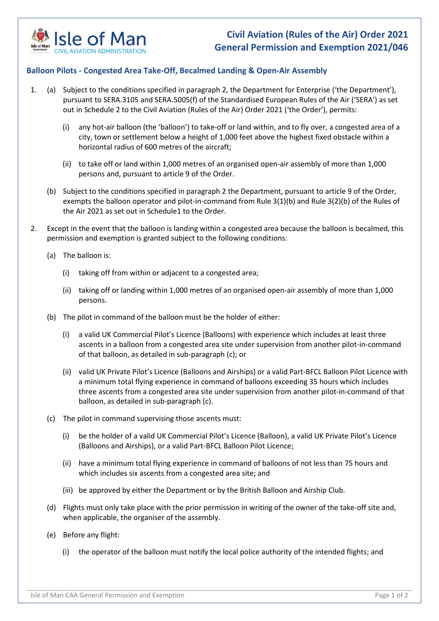

## **Civil Aviation (Rules of the Air) Order 2021 General Permission and Exemption 2021/046**

## **Balloon Pilots - Congested Area Take-Off, Becalmed Landing & Open-Air Assembly**

- 1. (a) Subject to the conditions specified in paragraph 2, the Department for Enterprise ('the Department'), pursuant to SERA.3105 and SERA.5005(f) of the Standardised European Rules of the Air ('SERA') as set out in Schedule 2 to the Civil Aviation (Rules of the Air) Order 2021 ('the Order'), permits:
	- (i) any hot-air balloon (the 'balloon') to take-off or land within, and to fly over, a congested area of a city, town or settlement below a height of 1,000 feet above the highest fixed obstacle within a horizontal radius of 600 metres of the aircraft;
	- (ii) to take off or land within 1,000 metres of an organised open-air assembly of more than 1,000 persons and, pursuant to article 9 of the Order.
	- (b) Subject to the conditions specified in paragraph 2 the Department, pursuant to article 9 of the Order, exempts the balloon operator and pilot-in-command from Rule 3(1)(b) and Rule 3(2)(b) of the Rules of the Air 2021 as set out in Schedule1 to the Order.
- 2. Except in the event that the balloon is landing within a congested area because the balloon is becalmed, this permission and exemption is granted subject to the following conditions:
	- (a) The balloon is:
		- (i) taking off from within or adjacent to a congested area;
		- (ii) taking off or landing within 1,000 metres of an organised open-air assembly of more than 1,000 persons.
	- (b) The pilot in command of the balloon must be the holder of either:
		- (i) a valid UK Commercial Pilot's Licence (Balloons) with experience which includes at least three ascents in a balloon from a congested area site under supervision from another pilot-in-command of that balloon, as detailed in sub-paragraph (c); or
		- (ii) valid UK Private Pilot's Licence (Balloons and Airships) or a valid Part-BFCL Balloon Pilot Licence with a minimum total flying experience in command of balloons exceeding 35 hours which includes three ascents from a congested area site under supervision from another pilot-in-command of that balloon, as detailed in sub-paragraph (c).
	- (c) The pilot in command supervising those ascents must:
		- (i) be the holder of a valid UK Commercial Pilot's Licence (Balloon), a valid UK Private Pilot's Licence (Balloons and Airships), or a valid Part-BFCL Balloon Pilot Licence;
		- (ii) have a minimum total flying experience in command of balloons of not less than 75 hours and which includes six ascents from a congested area site; and
		- (iii) be approved by either the Department or by the British Balloon and Airship Club.
	- (d) Flights must only take place with the prior permission in writing of the owner of the take-off site and, when applicable, the organiser of the assembly.
	- (e) Before any flight:
		- (i) the operator of the balloon must notify the local police authority of the intended flights; and